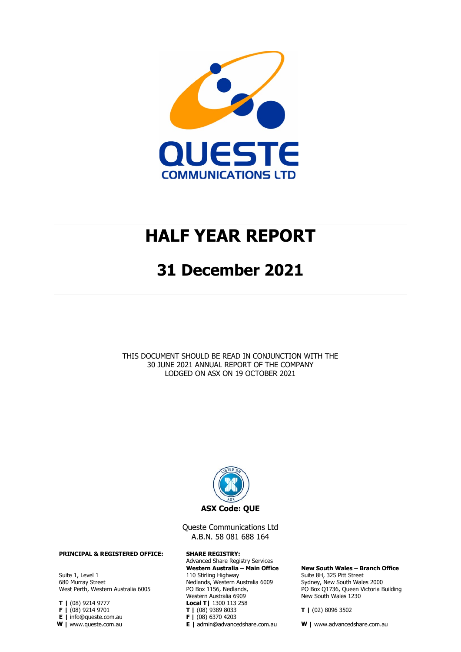

# **HALF YEAR REPORT**

### **31 December 2021**

THIS DOCUMENT SHOULD BE READ IN CONJUNCTION WITH THE 30 JUNE 2021 [ANNUAL REPORT OF THE COMPANY](https://www.asx.com.au/asx/statistics/displayAnnouncement.do?display=pdf&idsId=02437530) [LODGED ON ASX ON 19](https://www.asx.com.au/asx/statistics/displayAnnouncement.do?display=pdf&idsId=02437530) OCTOBER 2021



Queste Communications Ltd A.B.N. 58 081 688 164

Advanced Share Registry Services **Western Australia – Main Office** 110 Stirling Highway Nedlands, Western Australia 6009 PO Box 1156, Nedlands, Western Australia 6909 **Local T|** 1300 113 258 **T |** (08) 9389 8033 **F |** (08) 6370 4203

**New South Wales – Branch Office** Suite 8H, 325 Pitt Street Sydney, New South Wales 2000 PO Box Q1736, Queen Victoria Building New South Wales 1230

**T |** (02) 8096 3502

**E |** admin@advancedshare.com.au **W |** www.advancedshare.com.au

**PRINCIPAL & REGISTERED OFFICE: SHARE REGISTRY:**

Suite 1, Level 1 680 Murray Street West Perth, Western Australia 6005

**T |** (08) 9214 9777

**F |** (08) 9214 9701

**E |** info@queste.com.au

**W |** www.queste.com.au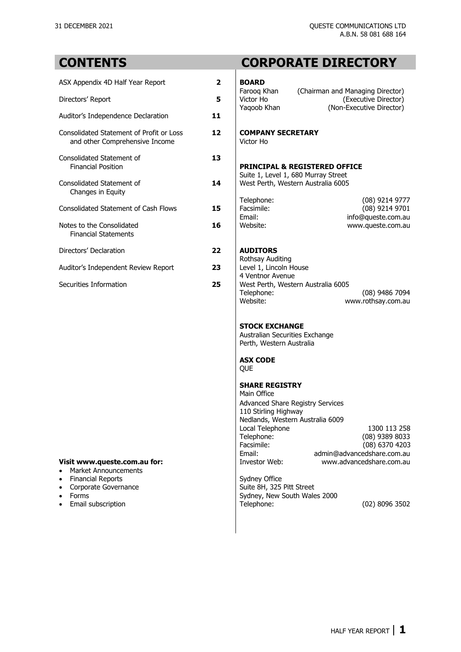### **CONTENTS CORPORATE DIRECTORY**

| ASX Appendix 4D Half Year Report                                           | $\overline{\mathbf{2}}$ | <b>BOARD</b>                                                                                                                    |
|----------------------------------------------------------------------------|-------------------------|---------------------------------------------------------------------------------------------------------------------------------|
| Directors' Report                                                          | 5                       | (Chairman and Managing Director)<br>Faroog Khan<br>Victor Ho<br>(Executive Director)<br>(Non-Executive Director)<br>Yaqoob Khan |
| Auditor's Independence Declaration                                         | 11                      |                                                                                                                                 |
| Consolidated Statement of Profit or Loss<br>and other Comprehensive Income | 12                      | <b>COMPANY SECRETARY</b><br>Victor Ho                                                                                           |
| Consolidated Statement of<br><b>Financial Position</b>                     | 13                      | <b>PRINCIPAL &amp; REGISTERED OFFICE</b>                                                                                        |
| Consolidated Statement of<br>Changes in Equity                             | 14                      | Suite 1, Level 1, 680 Murray Street<br>West Perth, Western Australia 6005                                                       |
| <b>Consolidated Statement of Cash Flows</b>                                | 15                      | Telephone:<br>(08) 9214 9777<br>Facsimile:<br>(08) 9214 9701<br>Email:<br>info@queste.com.au                                    |
| Notes to the Consolidated<br><b>Financial Statements</b>                   | 16                      | Website:<br>www.queste.com.au                                                                                                   |
| Directors' Declaration                                                     | 22                      | <b>AUDITORS</b>                                                                                                                 |
| Auditor's Independent Review Report                                        | 23                      | Rothsay Auditing<br>Level 1, Lincoln House<br>4 Ventnor Avenue                                                                  |
| Securities Information                                                     | 25                      | West Perth Western Australia 6005                                                                                               |

### **Visit [www.queste.com.au](http://www.queste.com.au/) for:**

- [Market Announcements](http://www.queste.com.au/report/asx-market-announcements)
- 
- [Corporate Governance](http://www.queste.com.au/corporate-governance)<br>• Forms
- 
- 

### Farooq Khan (Chairman and Managing Director)<br>Victor Ho (Executive Director) Victor Ho (Executive Director)<br>Yagoob Khan (Non-Executive Director) (Non-Executive Director)

### **COMPANY SECRETARY**<br>Victor Ho

### **PRINCIPAL & REGISTERED OFFICE**

### Directors' Declaration **22 AUDITORS**

Rothsay Auditing Level 1, Lincoln House 4 Ventnor Avenue ecurities Information **25** West Perth, Western Australia 6005<br>
Telephone: Telephone: (08) 9486 7094<br>Website: www.rothsay.com.au [www.rothsay.com.au](http://www.rothsay.com.au/)

#### **STOCK EXCHANGE**

Australian Securities Exchange Perth, Western Australia

#### **ASX CODE**

[QUE](https://www.asx.com.au/asx/share-price-research/company/QUE)

### **SHARE REGISTRY**

| Main Office                             |                            |
|-----------------------------------------|----------------------------|
| <b>Advanced Share Registry Services</b> |                            |
| 110 Stirling Highway                    |                            |
| Nedlands, Western Australia 6009        |                            |
| Local Telephone                         | 1300 113 258               |
| Telephone:                              | (08) 9389 8033             |
| Facsimile:                              | (08) 6370 4203             |
| Email:                                  | admin@advancedshare.com.au |
| Investor Web:                           | www.advancedshare.com.au   |
|                                         |                            |

• [Financial Reports](http://www.queste.com.au/library)<br>
• Corporate Governance<br>
• Corporate Governance<br>
Suite 8H, 325 Pitt Street Sydney, New South Wales 2000<br>Telephone: • [Email subscription](http://www.queste.com.au/user/register) **Telephone:** Telephone: (02) 8096 3502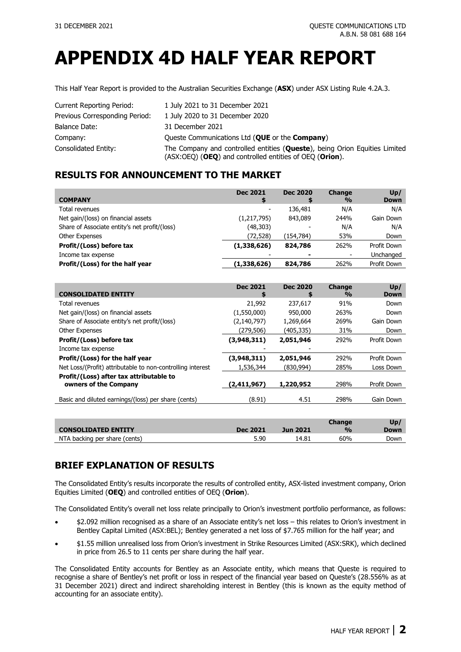# **APPENDIX 4D HALF YEAR REPORT**

This Half Year Report is provided to the Australian Securities Exchange (**ASX**) under ASX Listing Rule 4.2A.3.

| Current Reporting Period:      | 1 July 2021 to 31 December 2021                                                                                                         |
|--------------------------------|-----------------------------------------------------------------------------------------------------------------------------------------|
| Previous Corresponding Period: | 1 July 2020 to 31 December 2020                                                                                                         |
| Balance Date:                  | 31 December 2021                                                                                                                        |
| Company:                       | Queste Communications Ltd (QUE or the Company)                                                                                          |
| Consolidated Entity:           | The Company and controlled entities (Queste), being Orion Equities Limited<br>$(ASX:OEQ)$ (OEQ) and controlled entities of OEQ (Orion). |

### **RESULTS FOR ANNOUNCEMENT TO THE MARKET**

| <b>COMPANY</b>                                | <b>Dec 2021</b> | <b>Dec 2020</b> | <b>Change</b><br>$\frac{9}{0}$ | Up/<br><b>Down</b> |
|-----------------------------------------------|-----------------|-----------------|--------------------------------|--------------------|
| Total revenues                                |                 | 136,481         | N/A                            | N/A                |
| Net gain/(loss) on financial assets           | (1,217,795)     | 843,089         | 244%                           | Gain Down          |
| Share of Associate entity's net profit/(loss) | (48, 303)       |                 | N/A                            | N/A                |
| <b>Other Expenses</b>                         | (72, 528)       | (154, 784)      | 53%                            | Down               |
| Profit/(Loss) before tax                      | (1,338,626)     | 824,786         | 262%                           | Profit Down        |
| Income tax expense                            |                 | -               |                                | Unchanged          |
| Profit/(Loss) for the half year               | (1,338,626)     | 824,786         | 262%                           | Profit Down        |

|                                                            | <b>Dec 2021</b> | <b>Dec 2020</b> | <b>Change</b> | Up/          |
|------------------------------------------------------------|-----------------|-----------------|---------------|--------------|
| <b>CONSOLIDATED ENTITY</b>                                 | S               | S               | $\frac{0}{0}$ | <b>Down</b>  |
| Total revenues                                             | 21,992          | 237,617         | 91%           | Down         |
| Net gain/(loss) on financial assets                        | (1,550,000)     | 950,000         | 263%          | Down         |
| Share of Associate entity's net profit/(loss)              | (2, 140, 797)   | 1,269,664       | 269%          | Gain Down    |
| <b>Other Expenses</b>                                      | (279,506)       | (405,335)       | 31%           | Down         |
| Profit/(Loss) before tax                                   | (3,948,311)     | 2,051,946       | 292%          | Profit Down  |
| Income tax expense                                         |                 |                 |               |              |
| Profit/(Loss) for the half year                            | (3,948,311)     | 2,051,946       | 292%          | Profit Down  |
| Net Loss/(Profit) attributable to non-controlling interest | 1,536,344       | (830,994)       | 285%          | Loss Down    |
| Profit/(Loss) after tax attributable to                    |                 |                 |               |              |
| owners of the Company                                      | (2,411,967)     | 1,220,952       | 298%          | Profit Down  |
| Basic and diluted earnings/(loss) per share (cents)        | (8.91)          | 4.51            | 298%          | Gain Down    |
|                                                            |                 |                 |               |              |
|                                                            |                 |                 | Change        | $\mathbf{I}$ |

| <b>CONSOLIDATED ENTITY</b>    | <b>Dec 2021</b> | <b>Jun 2021</b> | Change<br>$\frac{1}{2}$ | Up,<br>Down |
|-------------------------------|-----------------|-----------------|-------------------------|-------------|
| NTA backing per share (cents) | 5.90            | 14.81           | 60%                     | Down        |

### **BRIEF EXPLANATION OF RESULTS**

The Consolidated Entity's results incorporate the results of controlled entity, ASX-listed investment company, Orion Equities Limited (**OEQ**) and controlled entities of OEQ (**Orion**).

The Consolidated Entity's overall net loss relate principally to Orion's investment portfolio performance, as follows:

- \$2.092 million recognised as a share of an Associate entity's net loss this relates to Orion's investment in Bentley Capital Limited (ASX[:BEL\)](https://www.asx.com.au/asx/share-price-research/company/BEL); Bentley generated a net loss of \$7.765 million for the half year; and
- \$1.55 million unrealised loss from Orion's investment in Strike Resources Limited (ASX[:SRK\)](https://www2.asx.com.au/markets/company/SRK), which declined in price from 26.5 to 11 cents per share during the half year.

The Consolidated Entity accounts for Bentley as an Associate entity, which means that Queste is required to recognise a share of Bentley's net profit or loss in respect of the financial year based on Queste's (28.556% as at 31 December 2021) direct and indirect shareholding interest in Bentley (this is known as the equity method of accounting for an associate entity).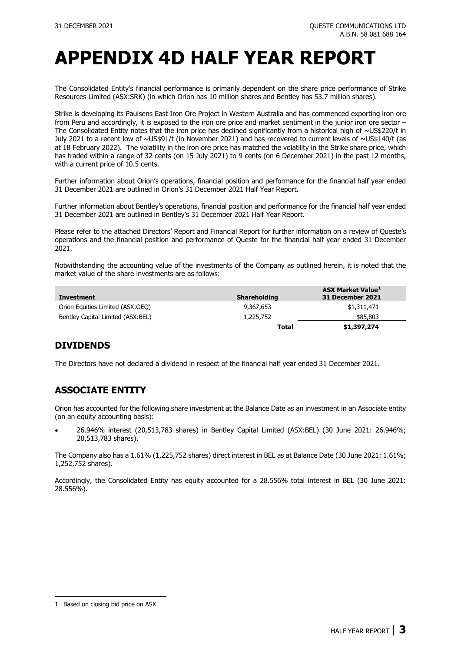# **APPENDIX 4D HALF YEAR REPORT**

The Consolidated Entity's financial performance is primarily dependent on the share price performance of Strike Resources Limited (ASX[:SRK\)](http://www.asx.com.au/asx/share-price-research/company/SRK) (in which Orion has 10 million shares and Bentley has 53.7 million shares).

Strike is developing its Paulsens East Iron Ore Project in Western Australia and has commenced exporting iron ore from Peru and accordingly, it is exposed to the iron ore price and market sentiment in the junior iron ore sector – The Consolidated Entity notes that the iron price has declined significantly from a historical high of ~US\$220/t in July 2021 to a recent low of ~US\$91/t (in November 2021) and has recovered to current levels of ~US\$140/t (as at 18 February 2022). The volatility in the iron ore price has matched the volatility in the Strike share price, which has traded within a range of 32 cents (on 15 July 2021) to 9 cents (on 6 December 2021) in the past 12 months, with a current price of 10.5 cents.

Further information about Orion's operations, financial position and performance for the financial half year ended 31 December 2021 are outlined in [Orion's 31 December 2021](http://www.orionequities.com.au/reports/4) Half Year Report.

Further information about Bentley's operations, financial position and performance for the financial half year ended 31 December 2021 are outlined in [Bentley's 31 December 2021](http://www.bel.com.au/reports) Half Year Report.

Please refer to the attached Directors' Report and Financial Report for further information on a review of Queste's operations and the financial position and performance of Queste for the financial half year ended 31 December 2021.

Notwithstanding the accounting value of the investments of the Company as outlined herein, it is noted that the market value of the share investments are as follows:

| Investment                        | <b>Shareholding</b> | <b>ASX Market Value</b> <sup>1</sup><br>31 December 2021 |
|-----------------------------------|---------------------|----------------------------------------------------------|
| Orion Equities Limited (ASX:OEO)  | 9,367,653           | \$1,311,471                                              |
| Bentley Capital Limited (ASX:BEL) | 1,225,752           | \$85,803                                                 |
|                                   | <b>Total</b>        | \$1,397,274                                              |

### **DIVIDENDS**

The Directors have not declared a dividend in respect of the financial half year ended 31 December 2021.

### **ASSOCIATE ENTITY**

Orion has accounted for the following share investment at the Balance Date as an investment in an Associate entity (on an equity accounting basis):

• 26.946% interest (20,513,783 shares) in Bentley Capital Limited (ASX[:BEL\)](http://www.asx.com.au/asx/share-price-research/company/BEL) (30 June 2021: 26.946%; 20,513,783 shares).

The Company also has a 1.61% (1,225,752 shares) direct interest in BEL as at Balance Date (30 June 2021: 1.61%; 1,252,752 shares).

Accordingly, the Consolidated Entity has equity accounted for a 28.556% total interest in BEL (30 June 2021: 28.556%).

<span id="page-3-0"></span><sup>1</sup> Based on closing bid price on ASX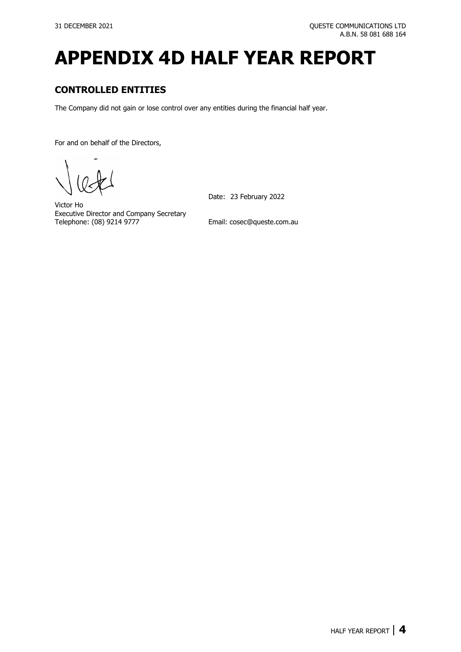# **APPENDIX 4D HALF YEAR REPORT**

### **CONTROLLED ENTITIES**

The Company did not gain or lose control over any entities during the financial half year.

For and on behalf of the Directors,

Victor Ho Executive Director and Company Secretary<br>Telephone: (08) 9214 9777 Date: 23 February 2022

Email: [cosec@queste.com.au](mailto:cosec@queste.com.au)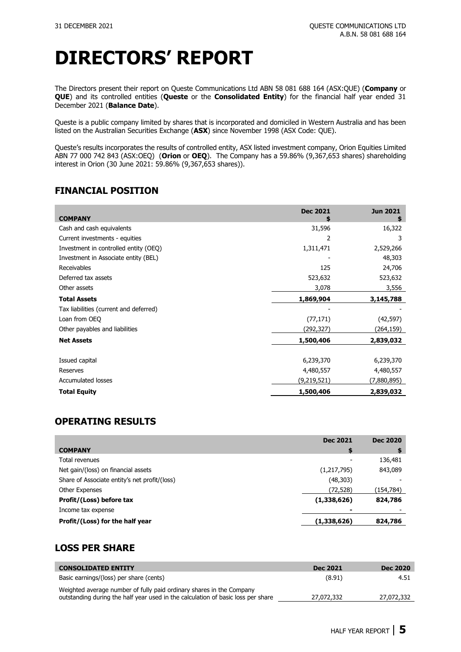The Directors present their report on Queste Communications Ltd ABN 58 081 688 164 (ASX[:QUE\)](https://www.asx.com.au/asx/share-price-research/company/QUE) (**Company** or **QUE**) and its controlled entities (**Queste** or the **Consolidated Entity**) for the financial half year ended 31 December 2021 (**Balance Date**).

Queste is a public company limited by shares that is incorporated and domiciled in Western Australia and has been listed on the Australian Securities Exchange (**ASX**) since November 1998 (ASX Code: [QUE\)](https://www.asx.com.au/asx/share-price-research/company/QUE).

Queste's results incorporates the results of controlled entity, ASX listed investment company, Orion Equities Limited ABN 77 000 742 843 (ASX[:OEQ\)](https://www.asx.com.au/asx/share-price-research/company/OEQ) (**Orion** or **OEQ**). The Company has a 59.86% (9,367,653 shares) shareholding interest in Orion (30 June 2021: 59.86% (9,367,653 shares)).

### **FINANCIAL POSITION**

| <b>COMPANY</b>                         | <b>Dec 2021</b> | <b>Jun 2021</b><br>S |
|----------------------------------------|-----------------|----------------------|
| Cash and cash equivalents              | 31,596          | 16,322               |
| Current investments - equities         | 2               | 3                    |
| Investment in controlled entity (OEQ)  | 1,311,471       | 2,529,266            |
| Investment in Associate entity (BEL)   |                 | 48,303               |
| Receivables                            | 125             | 24,706               |
| Deferred tax assets                    | 523,632         | 523,632              |
| Other assets                           | 3,078           | 3,556                |
| <b>Total Assets</b>                    | 1,869,904       | 3,145,788            |
| Tax liabilities (current and deferred) |                 |                      |
| Loan from OEO                          | (77, 171)       | (42, 597)            |
| Other payables and liabilities         | (292,327)       | (264,159)            |
| <b>Net Assets</b>                      | 1,500,406       | 2,839,032            |
|                                        |                 |                      |
| Issued capital                         | 6,239,370       | 6,239,370            |
| Reserves                               | 4,480,557       | 4,480,557            |
| <b>Accumulated losses</b>              | (9,219,521)     | (7,880,895)          |
| <b>Total Equity</b>                    | 1,500,406       | 2,839,032            |

### **OPERATING RESULTS**

|                                               | <b>Dec 2021</b> | <b>Dec 2020</b> |
|-----------------------------------------------|-----------------|-----------------|
| <b>COMPANY</b>                                | \$              |                 |
| Total revenues                                |                 | 136,481         |
| Net gain/(loss) on financial assets           | (1,217,795)     | 843,089         |
| Share of Associate entity's net profit/(loss) | (48, 303)       |                 |
| <b>Other Expenses</b>                         | (72, 528)       | (154,784)       |
| Profit/(Loss) before tax                      | (1,338,626)     | 824,786         |
| Income tax expense                            |                 |                 |
| Profit/(Loss) for the half year               | (1,338,626)     | 824,786         |

### **LOSS PER SHARE**

| <b>CONSOLIDATED ENTITY</b>                                                       | <b>Dec 2021</b> | <b>Dec 2020</b> |
|----------------------------------------------------------------------------------|-----------------|-----------------|
| Basic earnings/(loss) per share (cents)                                          | (8.91)          | 4.51            |
| Weighted average number of fully paid ordinary shares in the Company             |                 |                 |
| outstanding during the half year used in the calculation of basic loss per share | 27.072.332      | 27.072.332      |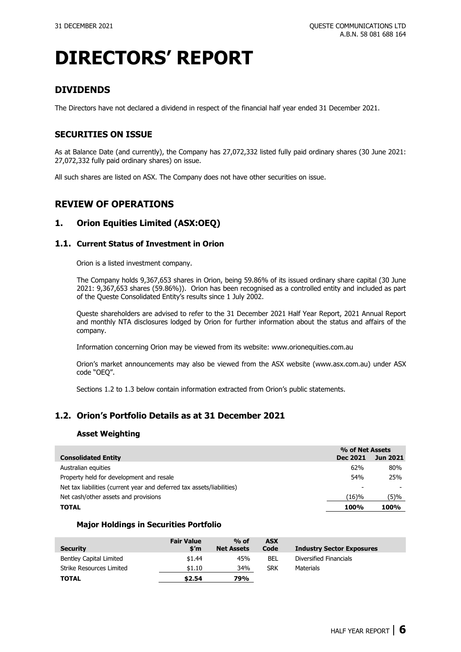### **DIVIDENDS**

The Directors have not declared a dividend in respect of the financial half year ended 31 December 2021.

### **SECURITIES ON ISSUE**

As at Balance Date (and currently), the Company has 27,072,332 listed fully paid ordinary shares (30 June 2021: 27,072,332 fully paid ordinary shares) on issue.

All such shares are listed on ASX. The Company does not have other securities on issue.

### **REVIEW OF OPERATIONS**

### **1. Orion Equities Limited (ASX[:OEQ\)](https://www.asx.com.au/asx/share-price-research/company/OEQ)**

### **1.1. Current Status of Investment in Orion**

Orion is a listed investment company.

The Company holds 9,367,653 shares in Orion, being 59.86% of its issued ordinary share capital (30 June 2021: 9,367,653 shares (59.86%)). Orion has been recognised as a controlled entity and included as part of the Queste Consolidated Entity's results since 1 July 2002.

Queste shareholders are advised to refer to the 31 [December](http://www.orionequities.com.au/reports/4) 2021 Half Year Report, 2021 [Annual Report](http://www.orionequities.com.au/sites/default/files/20211018%20OEQ%20ASX%20Annual%20Report%20%20-%202021.pdf) and monthly [NTA disclosures](http://www.orionequities.com.au/reports/10) lodged by Orion for further information about the status and affairs of the company.

Information concerning Orion may be viewed from its website: [www.orionequities.com.au](http://www.orionequities.com.au/)

Orion's market announcements may also be viewed from the ASX website [\(www.asx.com.au\)](https://www2.asx.com.au/markets/trade-our-cash-market/historical-announcements) under ASX code ["OEQ"](https://www.asx.com.au/asx/share-price-research/company/OEQ).

Sections 1.2 to 1.3 below contain information extracted from Orion's public statements.

### **1.2. Orion's Portfolio Details as at 31 December 2021**

### **Asset Weighting**

|                                                                        | % of Net Assets |                 |
|------------------------------------------------------------------------|-----------------|-----------------|
| <b>Consolidated Entity</b>                                             | Dec 2021        | <b>Jun 2021</b> |
| Australian equities                                                    | 62%             | 80%             |
| Property held for development and resale                               | 54%             | 25%             |
| Net tax liabilities (current year and deferred tax assets/liabilities) |                 |                 |
| Net cash/other assets and provisions                                   | (16)%           | (5)%            |
| <b>TOTAL</b>                                                           | 100%            | 100%            |

#### **Major Holdings in Securities Portfolio**

| <b>Security</b>          | <b>Fair Value</b><br>\$'m | $%$ of<br><b>Net Assets</b> | <b>ASX</b><br>Code | <b>Industry Sector Exposures</b> |
|--------------------------|---------------------------|-----------------------------|--------------------|----------------------------------|
| Bentley Capital Limited  | \$1.44                    | 45%                         | BEL                | Diversified Financials           |
| Strike Resources Limited | \$1.10                    | 34%                         | <b>SRK</b>         | <b>Materials</b>                 |
| <b>TOTAL</b>             | \$2.54                    | 79%                         |                    |                                  |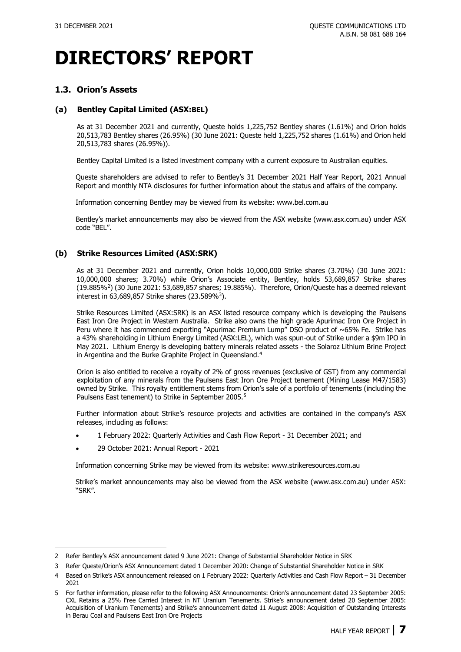### **1.3. Orion's Assets**

### **(a) Bentley Capital Limited (ASX[:BEL\)](http://www.asx.com.au/asx/share-price-research/company/BEL)**

As at 31 December 2021 and currently, Queste holds 1,225,752 Bentley shares (1.61%) and Orion holds 20,513,783 Bentley shares (26.95%) (30 June 2021: Queste held 1,225,752 shares (1.61%) and Orion held 20,513,783 shares (26.95%)).

Bentley Capital Limited is a listed investment company with a current exposure to Australian equities.

Queste shareholders are advised to refer to Bentley's [31 December 2021](http://www.bel.com.au/reports) Half Year Report, 2021 [Annual](http://www.bel.com.au/sites/default/files/20211018%20BEL%20ASX%20Annual%20Report%20-%202021.pdf)  [Report](http://www.bel.com.au/sites/default/files/20211018%20BEL%20ASX%20Annual%20Report%20-%202021.pdf) and monthly [NTA disclosures](http://www.bel.com.au/latest-nta) for further information about the status and affairs of the company.

Information concerning Bentley may be viewed from its website: [www.bel.com.au](http://www.bel.com.au/)

Bentley's market announcements may also be viewed from the ASX website [\(www.asx.com.au\)](https://www2.asx.com.au/markets/trade-our-cash-market/historical-announcements) under ASX code ["BEL"](http://www.asx.com.au/asx/share-price-research/company/BEL).

### **(b) Strike Resources Limited (ASX[:SRK\)](http://www.asx.com.au/asx/share-price-research/company/SRK)**

As at 31 December 2021 and currently, Orion holds 10,000,000 Strike shares (3.70%) (30 June 2021: 10,000,000 shares; 3.70%) while Orion's Associate entity, Bentley, holds 53,689,857 Strike shares (19.885%[2](#page-7-0)) (30 June 2021: 53,689,857 shares; 19.885%). Therefore, Orion/Queste has a deemed relevant interest in 63,689,857 Strike shares (23.589%[3](#page-7-1)).

Strike [Resources](http://strikeresources.com.au/) Limited (ASX[:SRK\)](http://www.asx.com.au/asx/share-price-research/company/SRK) is an ASX listed resource company which is developing the [Paulsens](http://strikeresources.com.au/projects/paulsens-east-iron-ore-project/) East Iron Ore [Project](http://strikeresources.com.au/projects/paulsens-east-iron-ore-project/) in Western Australia. Strike also owns the high grade [Apurimac](http://strikeresources.com.au/projects/apurimac-iron-ore-project/) Iron Ore Project in Peru where it has commenced exporting "Apurimac Premium Lump" DSO product of ~65% Fe. Strike has a 43% shareholding in Lithium Energy Limited (ASX[:LEL\)](http://www.asx.com.au/asx/share-price-research/company/LEL), which was spun-out of Strike under a \$9m IPO in May 2021. Lithium Energy is developing battery minerals related assets - the Solaroz Lithium Brine Project in Argentina and the Burke Graphite Project in Queensland.<sup>[4](#page-7-2)</sup>

Orion is also entitled to receive a royalty of 2% of gross revenues (exclusive of GST) from any commercial exploitation of any minerals from the [Paulsens East Iron Ore Project](http://strikeresources.com.au/projects/paulsens-east-iron-ore-project/) tenement (Mining Lease M47/1583) owned by Strike. This royalty entitlement stems from Orion's sale of a portfolio of tenements (including the Paulsens East tenement) to Strike in September 200[5](#page-7-3).<sup>5</sup>

Further information about Strike's resource projects and activities are contained in the company's ASX releases, including as follows:

- 1 February 2022: [Quarterly Activities and Cash Flow Report -](https://www.asx.com.au/asx/statistics/displayAnnouncement.do?display=pdf&idsId=02481725) 31 December 2021; and
- [29 October 2021: Annual Report -](https://www.asx.com.au/asx/statistics/displayAnnouncement.do?display=pdf&idsId=02303897) 2021

Information concerning Strike may be viewed from its website: [www.strikeresources.com.au](http://www.strikeresources.com.au/)

Strike's market announcements may also be viewed from the ASX website [\(www.asx.com.au\)](https://www2.asx.com.au/markets/trade-our-cash-market/historical-announcements) under ASX: ["SRK"](https://www.asx.com.au/asx/share-price-research/company/SRK).

<span id="page-7-0"></span><sup>2</sup> Refer Bentley's ASX announcement dated [9 June 2021: Change of Substantial Shareholder Notice in SRK](https://cdn-api.markitdigital.com/apiman-gateway/ASX/asx-research/1.0/file/2924-02382959-6A1036060?access_token=83ff96335c2d45a094df02a206a39ff4)

<span id="page-7-1"></span><sup>3</sup> Refer Queste/Orion's ASX Announcement dated [1 December 2020: Change of Substantial Shareholder Notice](https://www.asx.com.au/asx/statistics/displayAnnouncement.do?display=pdf&idsId=02317005) in SRK

<span id="page-7-2"></span><sup>4</sup> Based on Strike's ASX announcement released on [1 February 2022: Quarterly Activities and Cash Flow Report –](https://www.asx.com.au/asx/statistics/displayAnnouncement.do?display=pdf&idsId=02481725) 31 December [2021](https://www.asx.com.au/asx/statistics/displayAnnouncement.do?display=pdf&idsId=02481725)

<span id="page-7-3"></span><sup>5</sup> For further information, please refer to the following ASX Announcements: Orion's announcement date[d 23 September 2005:](https://www.asx.com.au/asx/statistics/displayAnnouncement.do?display=pdf&idsId=00550876)  [CXL Retains a 25% Free Carried Interest in NT Uranium Tenements.](https://www.asx.com.au/asx/statistics/displayAnnouncement.do?display=pdf&idsId=00550876) Strike's announcement dated [20 September 2005:](https://www.asx.com.au/asx/statistics/displayAnnouncement.do?display=pdf&idsId=00550058)  [Acquisition of Uranium Tenements\)](https://www.asx.com.au/asx/statistics/displayAnnouncement.do?display=pdf&idsId=00550058) and Strike's announcement dated [11 August 2008: Acquisition of Outstanding Interests](https://www.asx.com.au/asx/statistics/displayAnnouncement.do?display=pdf&idsId=00868344)  [in Berau Coal and Paulsens East Iron Ore Projects](https://www.asx.com.au/asx/statistics/displayAnnouncement.do?display=pdf&idsId=00868344)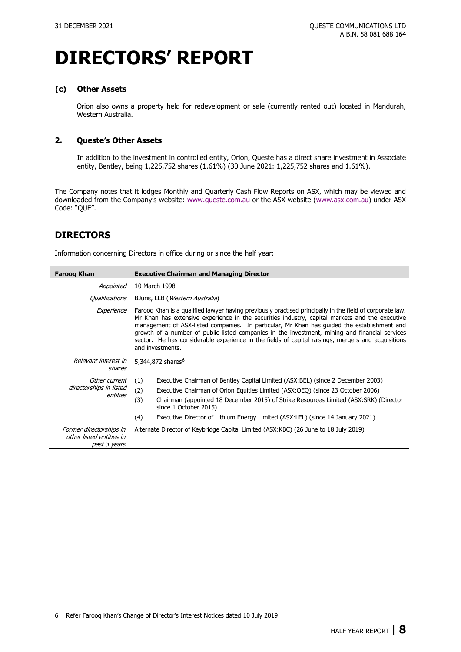### **(c) Other Assets**

Orion also owns a property held for redevelopment or sale (currently rented out) located in Mandurah, Western Australia.

### **2. Queste's Other Assets**

In addition to the investment in controlled entity, Orion, Queste has a direct share investment in Associate entity, Bentley, being 1,225,752 shares (1.61%) (30 June 2021: 1,225,752 shares and 1.61%).

The Company notes that it lodges [Monthly](http://www.queste.com.au/report/monthly-reports) and [Quarterly](http://www.queste.com.au/report/quarterly-reports) Cash Flow Reports on ASX, which may be viewed and downloaded from the Company's website: [www.queste.com.au](http://www.queste.com.au/) or the ASX website [\(www.asx.com.au\)](https://www2.asx.com.au/markets/trade-our-cash-market/historical-announcements) under ASX Code: ["QUE"](http://www.asx.com.au/asx/share-price-research/company/QUE).

### **DIRECTORS**

Information concerning Directors in office during or since the half year:

| <b>Faroog Khan</b>                                                  | <b>Executive Chairman and Managing Director</b>                                                                                                                                                                                                                                                                                                                                                                                                                                                                                       |  |
|---------------------------------------------------------------------|---------------------------------------------------------------------------------------------------------------------------------------------------------------------------------------------------------------------------------------------------------------------------------------------------------------------------------------------------------------------------------------------------------------------------------------------------------------------------------------------------------------------------------------|--|
| Appointed                                                           | 10 March 1998                                                                                                                                                                                                                                                                                                                                                                                                                                                                                                                         |  |
| Qualifications                                                      | BJuris, LLB ( <i>Western Australia</i> )                                                                                                                                                                                                                                                                                                                                                                                                                                                                                              |  |
| Experience                                                          | Faroog Khan is a qualified lawyer having previously practised principally in the field of corporate law.<br>Mr Khan has extensive experience in the securities industry, capital markets and the executive<br>management of ASX-listed companies. In particular, Mr Khan has quided the establishment and<br>growth of a number of public listed companies in the investment, mining and financial services<br>sector. He has considerable experience in the fields of capital raisings, mergers and acquisitions<br>and investments. |  |
| Relevant interest in<br>shares                                      | 5,344,872 shares <sup>6</sup>                                                                                                                                                                                                                                                                                                                                                                                                                                                                                                         |  |
| Other current<br>directorships in listed<br>entities                | Executive Chairman of Bentley Capital Limited (ASX: BEL) (since 2 December 2003)<br>(1)<br>(2)<br>Executive Chairman of Orion Equities Limited (ASX:OEQ) (since 23 October 2006)<br>(3)<br>Chairman (appointed 18 December 2015) of Strike Resources Limited (ASX:SRK) (Director<br>since 1 October 2015)<br>(4)<br>Executive Director of Lithium Energy Limited (ASX:LEL) (since 14 January 2021)                                                                                                                                    |  |
| Former directorships in<br>other listed entities in<br>past 3 years | Alternate Director of Keybridge Capital Limited (ASX:KBC) (26 June to 18 July 2019)                                                                                                                                                                                                                                                                                                                                                                                                                                                   |  |

<span id="page-8-0"></span><sup>6</sup> Refer Farooq Khan's Change of Director's Interest Notices dated [10 July 2019](https://www.asx.com.au/asx/statistics/displayAnnouncement.do?display=pdf&idsId=02122347)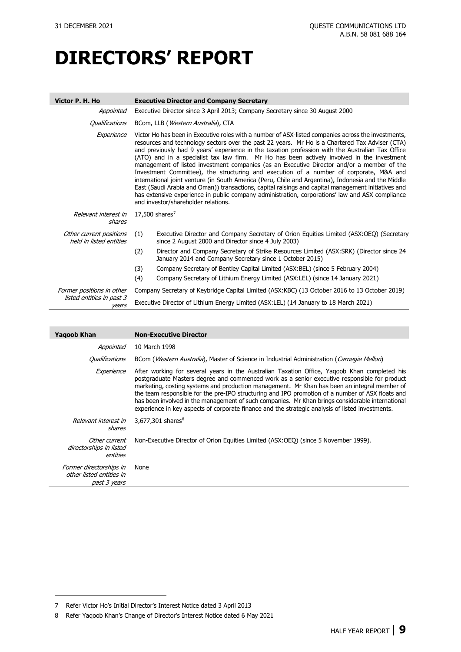| Victor P. H. Ho                                    |     | <b>Executive Director and Company Secretary</b>                                                                                                                                                                                                                                                                                                                                                                                                                                                                                                                                                                                                                                                                                                                                                                                                                                                                                                          |
|----------------------------------------------------|-----|----------------------------------------------------------------------------------------------------------------------------------------------------------------------------------------------------------------------------------------------------------------------------------------------------------------------------------------------------------------------------------------------------------------------------------------------------------------------------------------------------------------------------------------------------------------------------------------------------------------------------------------------------------------------------------------------------------------------------------------------------------------------------------------------------------------------------------------------------------------------------------------------------------------------------------------------------------|
| Appointed                                          |     | Executive Director since 3 April 2013; Company Secretary since 30 August 2000                                                                                                                                                                                                                                                                                                                                                                                                                                                                                                                                                                                                                                                                                                                                                                                                                                                                            |
| Qualifications                                     |     | BCom, LLB (Western Australia), CTA                                                                                                                                                                                                                                                                                                                                                                                                                                                                                                                                                                                                                                                                                                                                                                                                                                                                                                                       |
| Experience                                         |     | Victor Ho has been in Executive roles with a number of ASX-listed companies across the investments,<br>resources and technology sectors over the past 22 years. Mr Ho is a Chartered Tax Adviser (CTA)<br>and previously had 9 years' experience in the taxation profession with the Australian Tax Office<br>(ATO) and in a specialist tax law firm. Mr Ho has been actively involved in the investment<br>management of listed investment companies (as an Executive Director and/or a member of the<br>Investment Committee), the structuring and execution of a number of corporate, M&A and<br>international joint venture (in South America (Peru, Chile and Argentina), Indonesia and the Middle<br>East (Saudi Arabia and Oman)) transactions, capital raisings and capital management initiatives and<br>has extensive experience in public company administration, corporations' law and ASX compliance<br>and investor/shareholder relations. |
| Relevant interest in<br>shares                     |     | 17,500 shares $7$                                                                                                                                                                                                                                                                                                                                                                                                                                                                                                                                                                                                                                                                                                                                                                                                                                                                                                                                        |
| Other current positions<br>held in listed entities | (1) | Executive Director and Company Secretary of Orion Equities Limited (ASX:OEQ) (Secretary<br>since 2 August 2000 and Director since 4 July 2003)                                                                                                                                                                                                                                                                                                                                                                                                                                                                                                                                                                                                                                                                                                                                                                                                           |
|                                                    | (2) | Director and Company Secretary of Strike Resources Limited (ASX:SRK) (Director since 24<br>January 2014 and Company Secretary since 1 October 2015)                                                                                                                                                                                                                                                                                                                                                                                                                                                                                                                                                                                                                                                                                                                                                                                                      |
|                                                    | (3) | Company Secretary of Bentley Capital Limited (ASX: BEL) (since 5 February 2004)                                                                                                                                                                                                                                                                                                                                                                                                                                                                                                                                                                                                                                                                                                                                                                                                                                                                          |
|                                                    | (4) | Company Secretary of Lithium Energy Limited (ASX:LEL) (since 14 January 2021)                                                                                                                                                                                                                                                                                                                                                                                                                                                                                                                                                                                                                                                                                                                                                                                                                                                                            |
| Former positions in other                          |     | Company Secretary of Keybridge Capital Limited (ASX:KBC) (13 October 2016 to 13 October 2019)                                                                                                                                                                                                                                                                                                                                                                                                                                                                                                                                                                                                                                                                                                                                                                                                                                                            |
| listed entities in past 3<br>vears                 |     | Executive Director of Lithium Energy Limited (ASX:LEL) (14 January to 18 March 2021)                                                                                                                                                                                                                                                                                                                                                                                                                                                                                                                                                                                                                                                                                                                                                                                                                                                                     |

| <b>Yagoob Khan</b>                                                  | <b>Non-Executive Director</b>                                                                                                                                                                                                                                                                                                                                                                                                                                                                                                                                                                            |
|---------------------------------------------------------------------|----------------------------------------------------------------------------------------------------------------------------------------------------------------------------------------------------------------------------------------------------------------------------------------------------------------------------------------------------------------------------------------------------------------------------------------------------------------------------------------------------------------------------------------------------------------------------------------------------------|
| Appointed                                                           | 10 March 1998                                                                                                                                                                                                                                                                                                                                                                                                                                                                                                                                                                                            |
| <i><b>Qualifications</b></i>                                        | BCom ( <i>Western Australia</i> ), Master of Science in Industrial Administration ( <i>Carnegie Mellon</i> )                                                                                                                                                                                                                                                                                                                                                                                                                                                                                             |
| Experience                                                          | After working for several years in the Australian Taxation Office, Yagoob Khan completed his<br>postgraduate Masters degree and commenced work as a senior executive responsible for product<br>marketing, costing systems and production management. Mr Khan has been an integral member of<br>the team responsible for the pre-IPO structuring and IPO promotion of a number of ASX floats and<br>has been involved in the management of such companies. Mr Khan brings considerable international<br>experience in key aspects of corporate finance and the strategic analysis of listed investments. |
| Relevant interest in<br>shares                                      | 3,677,301 shares <sup>8</sup>                                                                                                                                                                                                                                                                                                                                                                                                                                                                                                                                                                            |
| Other current<br>directorships in listed<br>entities                | Non-Executive Director of Orion Equities Limited (ASX:OEQ) (since 5 November 1999).                                                                                                                                                                                                                                                                                                                                                                                                                                                                                                                      |
| Former directorships in<br>other listed entities in<br>past 3 years | None                                                                                                                                                                                                                                                                                                                                                                                                                                                                                                                                                                                                     |

<span id="page-9-0"></span><sup>7</sup> Refer Victor Ho's [Initial Director's Interest Notice](http://www.queste.com.au/sites/default/files/20130403%20QUE%20ASX%20Appendix%203X%20-%20Initial%20Director) dated 3 April 2013

<span id="page-9-1"></span><sup>8</sup> Refer Yaqoob Khan's [Change of Director's Interest Notice dated 6 May 2021](https://cdn-api.markitdigital.com/apiman-gateway/ASX/asx-research/1.0/file/2924-02372331-6A1032126?access_token=83ff96335c2d45a094df02a206a39ff4)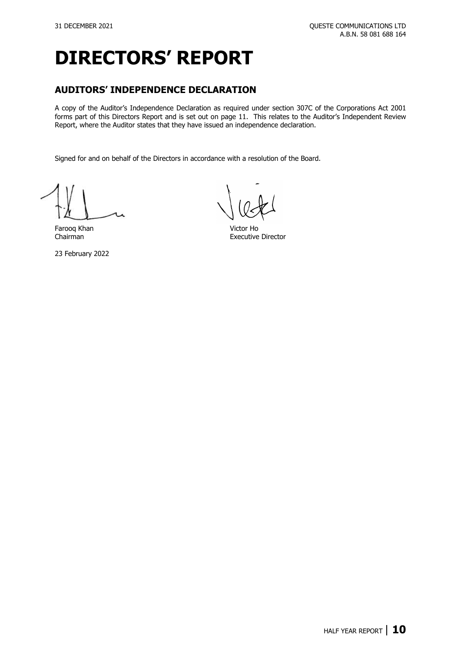### **AUDITORS' INDEPENDENCE DECLARATION**

A copy of the Auditor's Independence Declaration as required under section 307C of the Corporations Act 2001 forms part of this Directors Report and is set out on page 11. This relates to the Auditor's Independent Review Report, where the Auditor states that they have issued an independence declaration.

Signed for and on behalf of the Directors in accordance with a resolution of the Board.

Farooq Khan Victor Ho

23 February 2022

**Executive Director**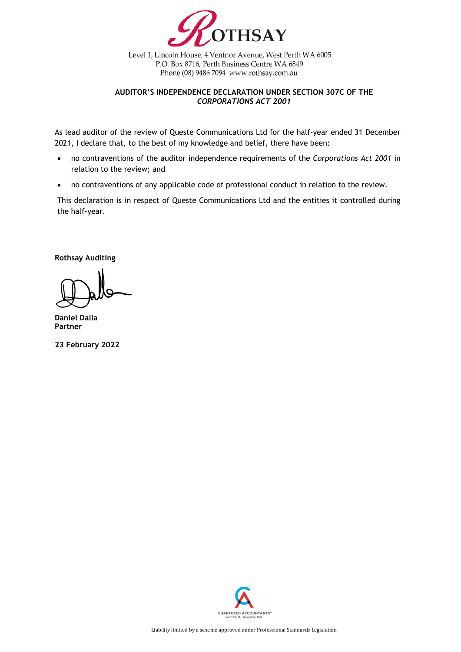

Level 1, Lincoln House, 4 Ventnor Avenue, West Perth WA 6005 P.O. Box 8716, Perth Business Centre WA 6849 Phone (08) 9486 7094 www.rothsay.com.au

### **AUDITOR'S INDEPENDENCE DECLARATION UNDER SECTION 307C OF THE**  *CORPORATIONS ACT 2001*

As lead auditor of the review of Queste Communications Ltd for the half-year ended 31 December 2021, I declare that, to the best of my knowledge and belief, there have been:

- no contraventions of the auditor independence requirements of the *Corporations Act 2001* in relation to the review; and
- no contraventions of any applicable code of professional conduct in relation to the review.

This declaration is in respect of Queste Communications Ltd and the entities it controlled during the half-year.

**Rothsay Auditing**

**Daniel Dalla Partner**

**23 February 2022**

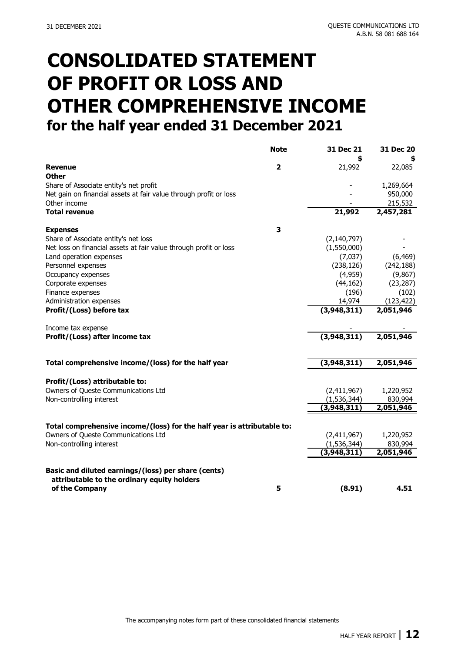# **CONSOLIDATED STATEMENT OF PROFIT OR LOSS AND OTHER COMPREHENSIVE INCOME for the half year ended 31 December 2021**

|                                                                         | <b>Note</b>             | 31 Dec 21     | 31 Dec 20  |
|-------------------------------------------------------------------------|-------------------------|---------------|------------|
|                                                                         |                         | \$            |            |
| <b>Revenue</b><br><b>Other</b>                                          | $\overline{\mathbf{2}}$ | 21,992        | 22,085     |
| Share of Associate entity's net profit                                  |                         |               | 1,269,664  |
| Net gain on financial assets at fair value through profit or loss       |                         |               | 950,000    |
| Other income                                                            |                         |               | 215,532    |
| <b>Total revenue</b>                                                    |                         | 21,992        | 2,457,281  |
| <b>Expenses</b>                                                         | 3                       |               |            |
| Share of Associate entity's net loss                                    |                         | (2, 140, 797) |            |
| Net loss on financial assets at fair value through profit or loss       |                         | (1,550,000)   |            |
| Land operation expenses                                                 |                         | (7,037)       | (6, 469)   |
| Personnel expenses                                                      |                         | (238, 126)    | (242, 188) |
| Occupancy expenses                                                      |                         | (4,959)       | (9,867)    |
| Corporate expenses                                                      |                         | (44, 162)     | (23, 287)  |
| Finance expenses                                                        |                         | (196)         | (102)      |
| Administration expenses                                                 |                         | 14,974        | (123, 422) |
| Profit/(Loss) before tax                                                |                         | (3, 948, 311) | 2,051,946  |
| Income tax expense                                                      |                         |               |            |
| Profit/(Loss) after income tax                                          |                         | (3,948,311)   | 2,051,946  |
| Total comprehensive income/(loss) for the half year                     |                         | (3,948,311)   | 2,051,946  |
| Profit/(Loss) attributable to:                                          |                         |               |            |
| Owners of Queste Communications Ltd                                     |                         | (2,411,967)   | 1,220,952  |
| Non-controlling interest                                                |                         | (1, 536, 344) | 830,994    |
|                                                                         |                         | (3, 948, 311) | 2,051,946  |
|                                                                         |                         |               |            |
| Total comprehensive income/(loss) for the half year is attributable to: |                         |               |            |
| Owners of Queste Communications Ltd                                     |                         | (2,411,967)   | 1,220,952  |
| Non-controlling interest                                                |                         | (1, 536, 344) | 830,994    |
|                                                                         |                         | (3,948,311)   | 2,051,946  |
| Basic and diluted earnings/(loss) per share (cents)                     |                         |               |            |
| attributable to the ordinary equity holders                             |                         |               |            |
| of the Company                                                          | 5                       | (8.91)        | 4.51       |

The accompanying notes form part of these consolidated financial statements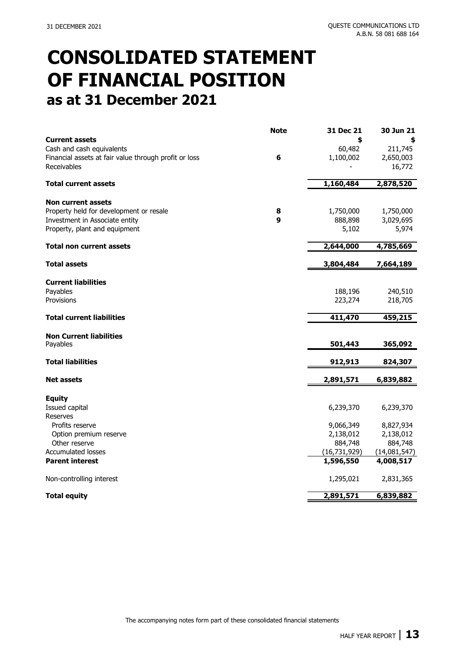# **CONSOLIDATED STATEMENT OF FINANCIAL POSITION as at 31 December 2021**

|                                                                                                                            | <b>Note</b>           | 31 Dec 21                         | 30 Jun 21                         |
|----------------------------------------------------------------------------------------------------------------------------|-----------------------|-----------------------------------|-----------------------------------|
| <b>Current assets</b><br>Cash and cash equivalents<br>Financial assets at fair value through profit or loss<br>Receivables | 6                     | \$<br>60,482<br>1,100,002         | 211,745<br>2,650,003<br>16,772    |
| <b>Total current assets</b>                                                                                                |                       | 1,160,484                         | 2,878,520                         |
| <b>Non current assets</b>                                                                                                  |                       |                                   |                                   |
| Property held for development or resale<br>Investment in Associate entity<br>Property, plant and equipment                 | 8<br>$\boldsymbol{9}$ | 1,750,000<br>888,898<br>5,102     | 1,750,000<br>3,029,695<br>5,974   |
| <b>Total non current assets</b>                                                                                            |                       | 2,644,000                         | 4,785,669                         |
| <b>Total assets</b>                                                                                                        |                       | 3,804,484                         | 7,664,189                         |
| <b>Current liabilities</b><br>Payables<br>Provisions                                                                       |                       | 188,196<br>223,274                | 240,510<br>218,705                |
| <b>Total current liabilities</b>                                                                                           |                       | 411,470                           | 459,215                           |
| <b>Non Current liabilities</b><br>Payables                                                                                 |                       | 501,443                           | 365,092                           |
| <b>Total liabilities</b>                                                                                                   |                       | 912,913                           | 824,307                           |
| <b>Net assets</b>                                                                                                          |                       | 2,891,571                         | 6,839,882                         |
| <b>Equity</b><br>Issued capital<br><b>Reserves</b>                                                                         |                       | 6,239,370                         | 6,239,370                         |
| Profits reserve<br>Option premium reserve<br>Other reserve                                                                 |                       | 9,066,349<br>2,138,012<br>884,748 | 8,827,934<br>2,138,012<br>884,748 |
| <b>Accumulated losses</b>                                                                                                  |                       | (16, 731, 929)                    | (14,081,547)                      |
| <b>Parent interest</b>                                                                                                     |                       | 1,596,550                         | 4,008,517                         |
| Non-controlling interest                                                                                                   |                       | 1,295,021                         | 2,831,365                         |
| <b>Total equity</b>                                                                                                        |                       | 2,891,571                         | 6,839,882                         |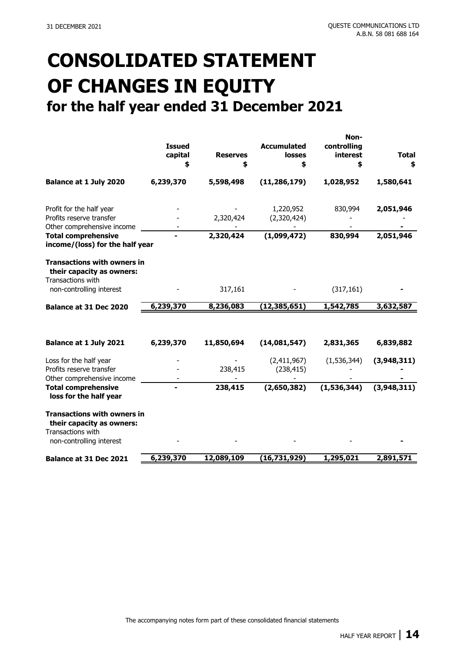# **CONSOLIDATED STATEMENT OF CHANGES IN EQUITY for the half year ended 31 December 2021**

|                                                                                      | <b>Issued</b><br>capital<br>\$ | <b>Reserves</b><br>\$ | <b>Accumulated</b><br><b>losses</b><br>\$ | Non-<br>controlling<br>interest<br>\$ | <b>Total</b><br>\$ |
|--------------------------------------------------------------------------------------|--------------------------------|-----------------------|-------------------------------------------|---------------------------------------|--------------------|
| <b>Balance at 1 July 2020</b>                                                        | 6,239,370                      | 5,598,498             | (11, 286, 179)                            | 1,028,952                             | 1,580,641          |
| Profit for the half year<br>Profits reserve transfer<br>Other comprehensive income   |                                | 2,320,424             | 1,220,952<br>(2,320,424)                  | 830,994                               | 2,051,946          |
| <b>Total comprehensive</b><br>income/(loss) for the half year                        |                                | 2,320,424             | (1,099,472)                               | 830,994                               | 2,051,946          |
| <b>Transactions with owners in</b><br>their capacity as owners:<br>Transactions with |                                |                       |                                           |                                       |                    |
| non-controlling interest                                                             |                                | 317,161               |                                           | (317, 161)                            |                    |
| Balance at 31 Dec 2020                                                               | 6,239,370                      | 8,236,083             | (12, 385, 651)                            | 1,542,785                             | 3,632,587          |
| Balance at 1 July 2021                                                               | 6,239,370                      | 11,850,694            | (14,081,547)                              | 2,831,365                             | 6,839,882          |
| Loss for the half year<br>Profits reserve transfer<br>Other comprehensive income     |                                | 238,415               | (2,411,967)<br>(238, 415)                 | (1,536,344)                           | (3,948,311)        |
| <b>Total comprehensive</b><br>loss for the half year                                 |                                | 238,415               | (2,650,382)                               | (1,536,344)                           | (3,948,311)        |
| <b>Transactions with owners in</b><br>their capacity as owners:<br>Transactions with |                                |                       |                                           |                                       |                    |
| non-controlling interest                                                             |                                |                       |                                           |                                       |                    |
| Balance at 31 Dec 2021                                                               | 6,239,370                      | 12,089,109            | (16, 731, 929)                            | 1,295,021                             | 2,891,571          |
|                                                                                      |                                |                       |                                           |                                       |                    |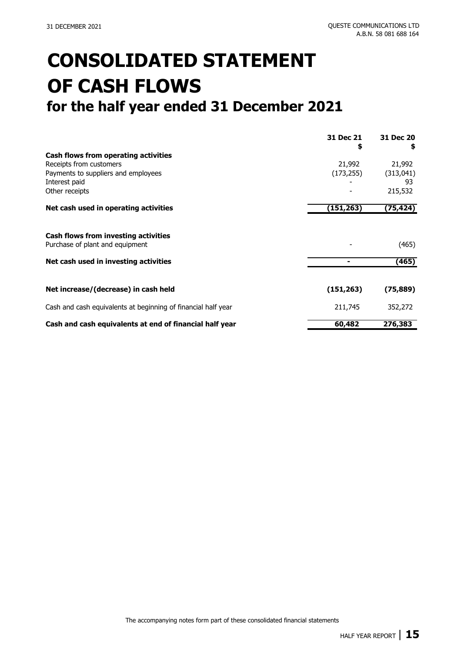# **CONSOLIDATED STATEMENT OF CASH FLOWS for the half year ended 31 December 2021**

|                                                                         | 31 Dec 21<br>\$ | 31 Dec 20<br>S |
|-------------------------------------------------------------------------|-----------------|----------------|
| Cash flows from operating activities                                    |                 |                |
| Receipts from customers                                                 | 21,992          | 21,992         |
| Payments to suppliers and employees                                     | (173, 255)      | (313,041)      |
| Interest paid                                                           |                 | 93             |
| Other receipts                                                          |                 | 215,532        |
| Net cash used in operating activities                                   | (151, 263)      | (75,424)       |
| Cash flows from investing activities<br>Purchase of plant and equipment |                 | (465)          |
| Net cash used in investing activities                                   |                 | (465)          |
| Net increase/(decrease) in cash held                                    | (151, 263)      | (75, 889)      |
| Cash and cash equivalents at beginning of financial half year           | 211,745         | 352,272        |
| Cash and cash equivalents at end of financial half year                 | 60,482          | 276,383        |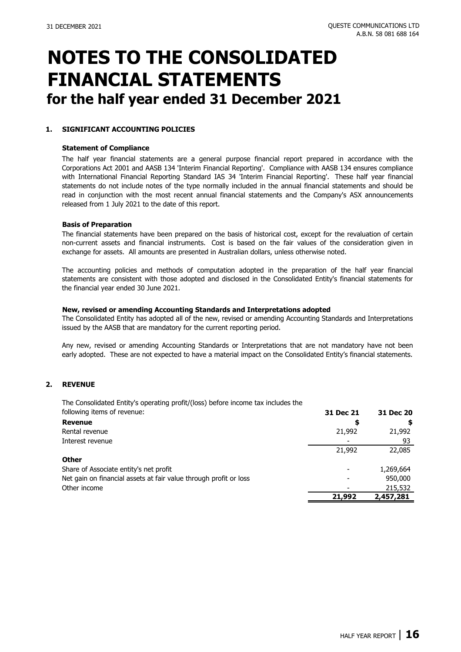#### **1. SIGNIFICANT ACCOUNTING POLICIES**

#### **Statement of Compliance**

The half year financial statements are a general purpose financial report prepared in accordance with the Corporations Act 2001 and AASB 134 'Interim Financial Reporting'. Compliance with AASB 134 ensures compliance with International Financial Reporting Standard IAS 34 'Interim Financial Reporting'. These half year financial statements do not include notes of the type normally included in the annual financial statements and should be read in conjunction with the most recent annual financial statements and the Company's ASX announcements released from 1 July 2021 to the date of this report.

#### **Basis of Preparation**

The financial statements have been prepared on the basis of historical cost, except for the revaluation of certain non-current assets and financial instruments. Cost is based on the fair values of the consideration given in exchange for assets. All amounts are presented in Australian dollars, unless otherwise noted.

The accounting policies and methods of computation adopted in the preparation of the half year financial statements are consistent with those adopted and disclosed in the Consolidated Entity's financial statements for the financial year ended 30 June 2021.

#### **New, revised or amending Accounting Standards and Interpretations adopted**

The Consolidated Entity has adopted all of the new, revised or amending Accounting Standards and Interpretations issued by the AASB that are mandatory for the current reporting period.

Any new, revised or amending Accounting Standards or Interpretations that are not mandatory have not been early adopted. These are not expected to have a material impact on the Consolidated Entity's financial statements.

#### **2. REVENUE**

The Consolidated Entity's operating profit/(loss) before income tax includes the following items of rev

| following items of revenue:                                       | 31 Dec 21 | 31 Dec 20 |
|-------------------------------------------------------------------|-----------|-----------|
| <b>Revenue</b>                                                    | Ş         |           |
| Rental revenue                                                    | 21,992    | 21,992    |
| Interest revenue                                                  |           | 93        |
|                                                                   | 21,992    | 22,085    |
| <b>Other</b>                                                      |           |           |
| Share of Associate entity's net profit                            |           | 1,269,664 |
| Net gain on financial assets at fair value through profit or loss |           | 950,000   |
| Other income                                                      |           | 215,532   |
|                                                                   | 21,992    | 2,457,281 |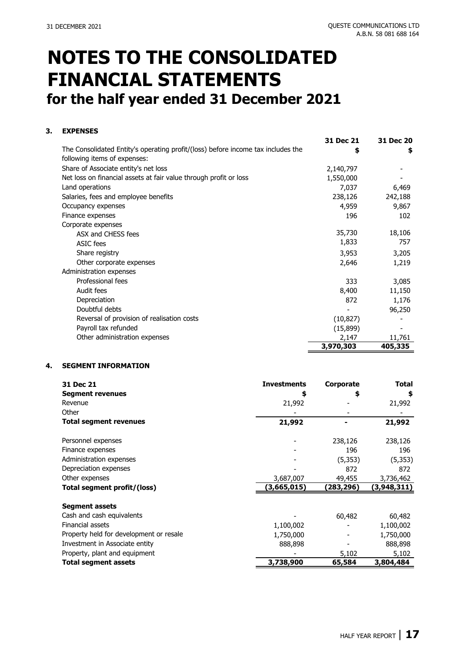### **3. EXPENSES**

|                                                                                  | 31 Dec 21 | 31 Dec 20 |
|----------------------------------------------------------------------------------|-----------|-----------|
| The Consolidated Entity's operating profit/(loss) before income tax includes the | \$        | \$        |
| following items of expenses:                                                     |           |           |
| Share of Associate entity's net loss                                             | 2,140,797 |           |
| Net loss on financial assets at fair value through profit or loss                | 1,550,000 |           |
| Land operations                                                                  | 7,037     | 6,469     |
| Salaries, fees and employee benefits                                             | 238,126   | 242,188   |
| Occupancy expenses                                                               | 4,959     | 9,867     |
| Finance expenses                                                                 | 196       | 102       |
| Corporate expenses                                                               |           |           |
| ASX and CHESS fees                                                               | 35,730    | 18,106    |
| ASIC fees                                                                        | 1,833     | 757       |
| Share registry                                                                   | 3,953     | 3,205     |
| Other corporate expenses                                                         | 2,646     | 1,219     |
| Administration expenses                                                          |           |           |
| Professional fees                                                                | 333       | 3,085     |
| Audit fees                                                                       | 8,400     | 11,150    |
| Depreciation                                                                     | 872       | 1,176     |
| Doubtful debts                                                                   |           | 96,250    |
| Reversal of provision of realisation costs                                       | (10, 827) |           |
| Payroll tax refunded                                                             | (15, 899) |           |
| Other administration expenses                                                    | 2,147     | 11,761    |
|                                                                                  | 3,970,303 | 405,335   |

#### **4. SEGMENT INFORMATION**

| 31 Dec 21                               | <b>Investments</b> | Corporate | Total       |
|-----------------------------------------|--------------------|-----------|-------------|
| <b>Segment revenues</b>                 | \$                 | \$        | \$          |
| Revenue                                 | 21,992             |           | 21,992      |
| Other                                   |                    |           |             |
| <b>Total segment revenues</b>           | 21,992             |           | 21,992      |
| Personnel expenses                      |                    | 238,126   | 238,126     |
| Finance expenses                        |                    | 196       | 196         |
| Administration expenses                 |                    | (5, 353)  | (5, 353)    |
| Depreciation expenses                   |                    | 872       | 872         |
| Other expenses                          | 3,687,007          | 49,455    | 3,736,462   |
| Total segment profit/(loss)             | (3,665,015)        | (283,296) | (3,948,311) |
| <b>Segment assets</b>                   |                    |           |             |
| Cash and cash equivalents               |                    | 60,482    | 60,482      |
| Financial assets                        | 1,100,002          |           | 1,100,002   |
| Property held for development or resale | 1,750,000          |           | 1,750,000   |
| Investment in Associate entity          | 888,898            |           | 888,898     |
| Property, plant and equipment           |                    | 5,102     | 5,102       |
| <b>Total segment assets</b>             | 3,738,900          | 65,584    | 3,804,484   |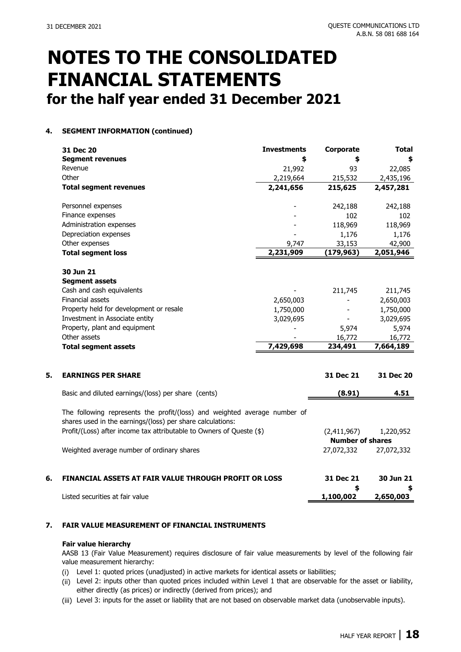### **4. SEGMENT INFORMATION (continued)**

|    | 31 Dec 20                                                                                                                               | <b>Investments</b> | Corporate                              | <b>Total</b> |
|----|-----------------------------------------------------------------------------------------------------------------------------------------|--------------------|----------------------------------------|--------------|
|    | <b>Segment revenues</b>                                                                                                                 | \$                 | \$                                     |              |
|    | Revenue                                                                                                                                 | 21,992             | 93                                     | 22,085       |
|    | Other                                                                                                                                   | 2,219,664          | 215,532                                | 2,435,196    |
|    | <b>Total segment revenues</b>                                                                                                           | 2,241,656          | 215,625                                | 2,457,281    |
|    | Personnel expenses                                                                                                                      |                    | 242,188                                | 242,188      |
|    | Finance expenses                                                                                                                        |                    | 102                                    | 102          |
|    | Administration expenses                                                                                                                 |                    | 118,969                                | 118,969      |
|    | Depreciation expenses                                                                                                                   |                    | 1,176                                  | 1,176        |
|    | Other expenses                                                                                                                          | 9,747              | 33,153                                 | 42,900       |
|    | <b>Total segment loss</b>                                                                                                               | 2,231,909          | (179, 963)                             | 2,051,946    |
|    | 30 Jun 21                                                                                                                               |                    |                                        |              |
|    | <b>Segment assets</b>                                                                                                                   |                    |                                        |              |
|    | Cash and cash equivalents                                                                                                               |                    | 211,745                                | 211,745      |
|    | <b>Financial assets</b>                                                                                                                 | 2,650,003          |                                        | 2,650,003    |
|    | Property held for development or resale                                                                                                 | 1,750,000          |                                        | 1,750,000    |
|    | Investment in Associate entity                                                                                                          | 3,029,695          | $\overline{\phantom{a}}$               | 3,029,695    |
|    | Property, plant and equipment                                                                                                           |                    | 5,974                                  | 5,974        |
|    | Other assets                                                                                                                            |                    | 16,772                                 | 16,772       |
|    | <b>Total segment assets</b>                                                                                                             | 7,429,698          | 234,491                                | 7,664,189    |
| 5. | <b>EARNINGS PER SHARE</b>                                                                                                               |                    | 31 Dec 21                              | 31 Dec 20    |
|    | Basic and diluted earnings/(loss) per share (cents)                                                                                     |                    | (8.91)                                 | 4.51         |
|    | The following represents the profit/(loss) and weighted average number of<br>shares used in the earnings/(loss) per share calculations: |                    |                                        |              |
|    | Profit/(Loss) after income tax attributable to Owners of Queste (\$)                                                                    |                    | (2,411,967)<br><b>Number of shares</b> | 1,220,952    |
|    |                                                                                                                                         |                    |                                        |              |
|    | Weighted average number of ordinary shares                                                                                              |                    | 27,072,332                             | 27,072,332   |
| 6. | <b>FINANCIAL ASSETS AT FAIR VALUE THROUGH PROFIT OR LOSS</b>                                                                            |                    | 31 Dec 21                              | 30 Jun 21    |
|    |                                                                                                                                         |                    | \$                                     |              |
|    | Listed securities at fair value                                                                                                         |                    | 1,100,002                              | 2,650,003    |

### **7. FAIR VALUE MEASUREMENT OF FINANCIAL INSTRUMENTS**

#### **Fair value hierarchy**

AASB 13 (Fair Value Measurement) requires disclosure of fair value measurements by level of the following fair value measurement hierarchy:

- (i) Level 1: quoted prices (unadjusted) in active markets for identical assets or liabilities;
- (ii) Level 2: inputs other than quoted prices included within Level 1 that are observable for the asset or liability, either directly (as prices) or indirectly (derived from prices); and
- (iii) Level 3: inputs for the asset or liability that are not based on observable market data (unobservable inputs).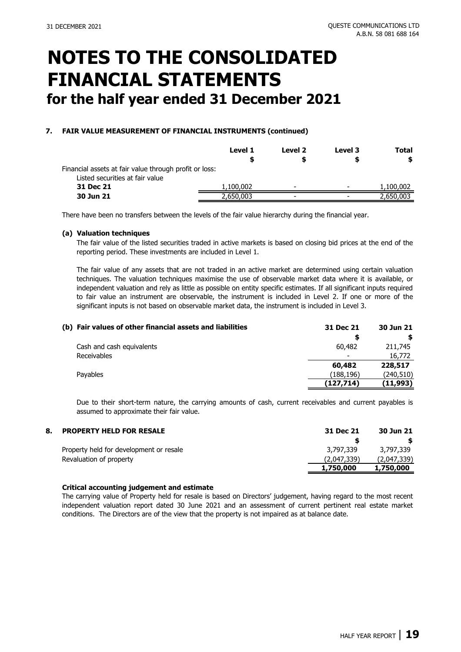### **7. FAIR VALUE MEASUREMENT OF FINANCIAL INSTRUMENTS (continued)**

|                                                        | <b>Level 1</b> | Level 2                  | Level 3                  | Total<br>\$ |
|--------------------------------------------------------|----------------|--------------------------|--------------------------|-------------|
| Financial assets at fair value through profit or loss: |                |                          |                          |             |
| Listed securities at fair value<br>31 Dec 21           | 1,100,002      | $\overline{\phantom{a}}$ |                          | 1,100,002   |
| 30 Jun 21                                              | 2,650,003      | $\overline{\phantom{a}}$ | $\overline{\phantom{a}}$ | 2,650,003   |

There have been no transfers between the levels of the fair value hierarchy during the financial year.

#### **(a) Valuation techniques**

The fair value of the listed securities traded in active markets is based on closing bid prices at the end of the reporting period. These investments are included in Level 1.

The fair value of any assets that are not traded in an active market are determined using certain valuation techniques. The valuation techniques maximise the use of observable market data where it is available, or independent valuation and rely as little as possible on entity specific estimates. If all significant inputs required to fair value an instrument are observable, the instrument is included in Level 2. If one or more of the significant inputs is not based on observable market data, the instrument is included in Level 3.

| (b) Fair values of other financial assets and liabilities | 31 Dec 21                | 30 Jun 21  |
|-----------------------------------------------------------|--------------------------|------------|
|                                                           | S                        |            |
| Cash and cash equivalents                                 | 60,482                   | 211,745    |
| Receivables                                               | $\overline{\phantom{a}}$ | 16,772     |
|                                                           | 60,482                   | 228,517    |
| Pavables                                                  | (188,196)                | (240, 510) |
|                                                           | (127,714)                | (11,993)   |

Due to their short-term nature, the carrying amounts of cash, current receivables and current payables is assumed to approximate their fair value.

| 8. | <b>PROPERTY HELD FOR RESALE</b>         | 31 Dec 21   | 30 Jun 21   |
|----|-----------------------------------------|-------------|-------------|
|    |                                         |             |             |
|    | Property held for development or resale | 3,797,339   | 3,797,339   |
|    | Revaluation of property                 | (2,047,339) | (2,047,339) |
|    |                                         | 1,750,000   | 1,750,000   |

#### **Critical accounting judgement and estimate**

The carrying value of Property held for resale is based on Directors' judgement, having regard to the most recent independent valuation report dated 30 June 2021 and an assessment of current pertinent real estate market conditions. The Directors are of the view that the property is not impaired as at balance date.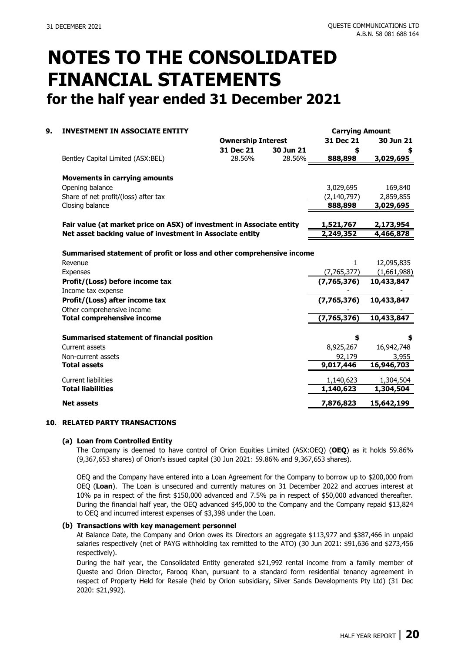**Carrying Amount**

### **NOTES TO THE CONSOLIDATED FINANCIAL STATEMENTS for the half year ended 31 December 2021**

### **9. INVESTMENT IN ASSOCIATE ENTITY**

|                                                                       | <b>Ownership Interest</b> |           | 31 Dec 21     | 30 Jun 21   |
|-----------------------------------------------------------------------|---------------------------|-----------|---------------|-------------|
|                                                                       | 31 Dec 21                 | 30 Jun 21 | \$            |             |
| Bentley Capital Limited (ASX:BEL)                                     | 28.56%                    | 28.56%    | 888,898       | 3,029,695   |
|                                                                       |                           |           |               |             |
| <b>Movements in carrying amounts</b>                                  |                           |           |               |             |
| Opening balance                                                       |                           |           | 3,029,695     | 169,840     |
| Share of net profit/(loss) after tax                                  |                           |           | (2, 140, 797) | 2,859,855   |
| Closing balance                                                       |                           |           | 888,898       | 3,029,695   |
|                                                                       |                           |           |               |             |
| Fair value (at market price on ASX) of investment in Associate entity |                           |           | 1,521,767     | 2,173,954   |
| Net asset backing value of investment in Associate entity             |                           |           | 2,249,352     | 4,466,878   |
|                                                                       |                           |           |               |             |
| Summarised statement of profit or loss and other comprehensive income |                           |           |               |             |
| Revenue                                                               |                           |           | 1             | 12,095,835  |
| <b>Expenses</b>                                                       |                           |           | (7,765,377)   | (1,661,988) |
| Profit/(Loss) before income tax                                       |                           |           | (7,765,376)   | 10,433,847  |
| Income tax expense                                                    |                           |           |               |             |
| Profit/(Loss) after income tax                                        |                           |           | (7,765,376)   | 10,433,847  |
| Other comprehensive income                                            |                           |           |               |             |
| <b>Total comprehensive income</b>                                     |                           |           | (7,765,376)   | 10,433,847  |
|                                                                       |                           |           |               |             |
| Summarised statement of financial position                            |                           |           | \$            |             |
| Current assets                                                        |                           |           | 8,925,267     | 16,942,748  |
| Non-current assets                                                    |                           |           | 92,179        | 3,955       |
| <b>Total assets</b>                                                   |                           |           | 9,017,446     | 16,946,703  |
| <b>Current liabilities</b>                                            |                           |           | 1,140,623     | 1,304,504   |
| <b>Total liabilities</b>                                              |                           |           | 1,140,623     | 1,304,504   |
| <b>Net assets</b>                                                     |                           |           | 7,876,823     | 15,642,199  |

#### **10. RELATED PARTY TRANSACTIONS**

#### **(a) Loan from Controlled Entity**

The Company is deemed to have control of Orion Equities Limited (ASX:OEQ) (**OEQ**) as it holds 59.86% (9,367,653 shares) of Orion's issued capital (30 Jun 2021: 59.86% and 9,367,653 shares).

OEQ and the Company have entered into a Loan Agreement for the Company to borrow up to \$200,000 from OEQ (**Loan**). The Loan is unsecured and currently matures on 31 December 2022 and accrues interest at 10% pa in respect of the first \$150,000 advanced and 7.5% pa in respect of \$50,000 advanced thereafter. During the financial half year, the OEQ advanced \$45,000 to the Company and the Company repaid \$13,824 to OEQ and incurred interest expenses of \$3,398 under the Loan.

#### **(b) Transactions with key management personnel**

At Balance Date, the Company and Orion owes its Directors an aggregate \$113,977 and \$387,466 in unpaid salaries respectively (net of PAYG withholding tax remitted to the ATO) (30 Jun 2021: \$91,636 and \$273,456 respectively).

During the half year, the Consolidated Entity generated \$21,992 rental income from a family member of Queste and Orion Director, Farooq Khan, pursuant to a standard form residential tenancy agreement in respect of Property Held for Resale (held by Orion subsidiary, Silver Sands Developments Pty Ltd) (31 Dec 2020: \$21,992).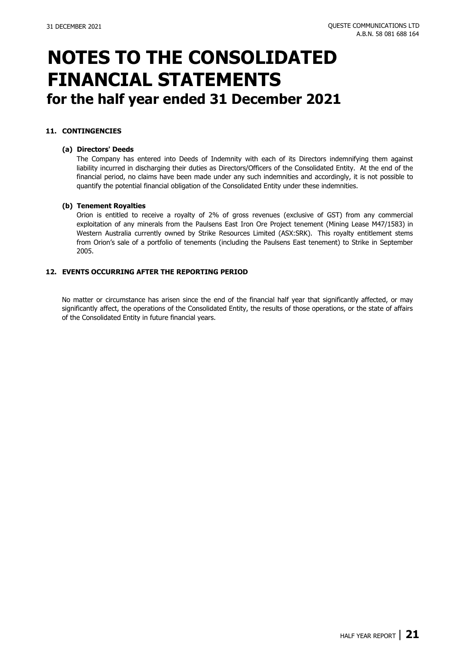### **11. CONTINGENCIES**

#### **(a) Directors' Deeds**

The Company has entered into Deeds of Indemnity with each of its Directors indemnifying them against liability incurred in discharging their duties as Directors/Officers of the Consolidated Entity. At the end of the financial period, no claims have been made under any such indemnities and accordingly, it is not possible to quantify the potential financial obligation of the Consolidated Entity under these indemnities.

#### **(b) Tenement Royalties**

Orion is entitled to receive a royalty of 2% of gross revenues (exclusive of GST) from any commercial exploitation of any minerals from the Paulsens East Iron Ore Project tenement (Mining Lease M47/1583) in Western Australia currently owned by Strike Resources Limited (ASX:SRK). This royalty entitlement stems from Orion's sale of a portfolio of tenements (including the Paulsens East tenement) to Strike in September 2005.

#### **12. EVENTS OCCURRING AFTER THE REPORTING PERIOD**

No matter or circumstance has arisen since the end of the financial half year that significantly affected, or may significantly affect, the operations of the Consolidated Entity, the results of those operations, or the state of affairs of the Consolidated Entity in future financial years.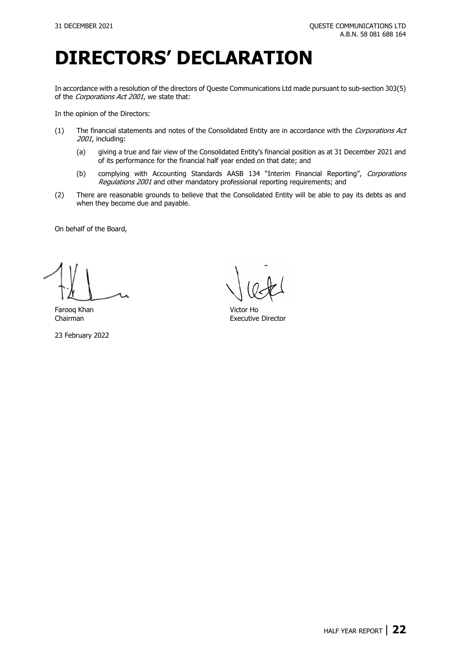# **DIRECTORS' DECLARATION**

In accordance with a resolution of the directors of Queste Communications Ltd made pursuant to sub-section 303(5) of the Corporations Act 2001, we state that:

In the opinion of the Directors:

- (1) The financial statements and notes of the Consolidated Entity are in accordance with the Corporations Act 2001, including:
	- (a) giving a true and fair view of the Consolidated Entity's financial position as at 31 December 2021 and of its performance for the financial half year ended on that date; and
	- (b) complying with Accounting Standards AASB 134 "Interim Financial Reporting", Corporations Regulations 2001 and other mandatory professional reporting requirements; and
- (2) There are reasonable grounds to believe that the Consolidated Entity will be able to pay its debts as and when they become due and payable.

On behalf of the Board,

Farooq Khan Victor Ho

23 February 2022

Executive Director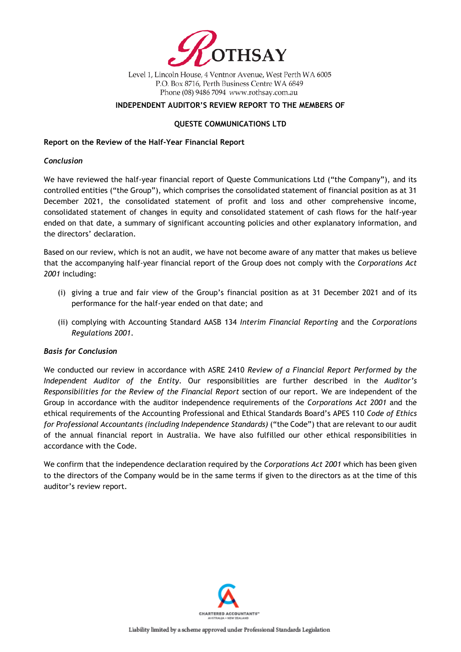

Level 1, Lincoln House, 4 Ventnor Avenue, West Perth WA 6005 P.O. Box 8716, Perth Business Centre WA 6849 Phone (08) 9486 7094 www.rothsay.com.au

### **INDEPENDENT AUDITOR'S REVIEW REPORT TO THE MEMBERS OF**

### **QUESTE COMMUNICATIONS LTD**

### **Report on the Review of the Half-Year Financial Report**

### *Conclusion*

We have reviewed the half-year financial report of Queste Communications Ltd ("the Company"), and its controlled entities ("the Group"), which comprises the consolidated statement of financial position as at 31 December 2021, the consolidated statement of profit and loss and other comprehensive income, consolidated statement of changes in equity and consolidated statement of cash flows for the half-year ended on that date, a summary of significant accounting policies and other explanatory information, and the directors' declaration.

Based on our review, which is not an audit, we have not become aware of any matter that makes us believe that the accompanying half-year financial report of the Group does not comply with the *Corporations Act 2001* including:

- (i) giving a true and fair view of the Group's financial position as at 31 December 2021 and of its performance for the half-year ended on that date; and
- (ii) complying with Accounting Standard AASB 134 *Interim Financial Reporting* and the *Corporations Regulations 2001*.

### *Basis for Conclusion*

We conducted our review in accordance with ASRE 2410 *Review of a Financial Report Performed by the Independent Auditor of the Entity*. Our responsibilities are further described in the *Auditor's Responsibilities for the Review of the Financial Report* section of our report. We are independent of the Group in accordance with the auditor independence requirements of the *Corporations Act 2001* and the ethical requirements of the Accounting Professional and Ethical Standards Board's APES 110 *Code of Ethics for Professional Accountants (including Independence Standards)* ("the Code") that are relevant to our audit of the annual financial report in Australia. We have also fulfilled our other ethical responsibilities in accordance with the Code.

We confirm that the independence declaration required by the *Corporations Act 2001* which has been given to the directors of the Company would be in the same terms if given to the directors as at the time of this auditor's review report.

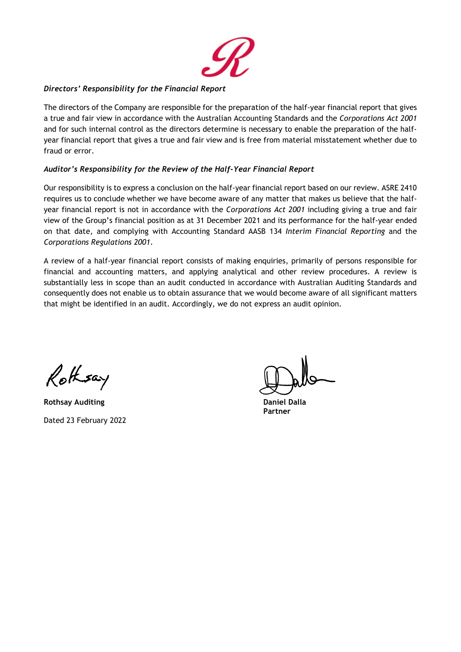

### *Directors' Responsibility for the Financial Report*

The directors of the Company are responsible for the preparation of the half-year financial report that gives a true and fair view in accordance with the Australian Accounting Standards and the *Corporations Act 2001* and for such internal control as the directors determine is necessary to enable the preparation of the halfyear financial report that gives a true and fair view and is free from material misstatement whether due to fraud or error.

### *Auditor's Responsibility for the Review of the Half-Year Financial Report*

Our responsibility is to express a conclusion on the half-year financial report based on our review. ASRE 2410 requires us to conclude whether we have become aware of any matter that makes us believe that the halfyear financial report is not in accordance with the *Corporations Act 2001* including giving a true and fair view of the Group's financial position as at 31 December 2021 and its performance for the half-year ended on that date, and complying with Accounting Standard AASB 134 *Interim Financial Reporting* and the *Corporations Regulations 2001*.

A review of a half-year financial report consists of making enquiries, primarily of persons responsible for financial and accounting matters, and applying analytical and other review procedures. A review is substantially less in scope than an audit conducted in accordance with Australian Auditing Standards and consequently does not enable us to obtain assurance that we would become aware of all significant matters that might be identified in an audit. Accordingly, we do not express an audit opinion.

Rothsay

**Rothsay Auditing Daniel Dalla** Dated 23 February 2022

**Partner**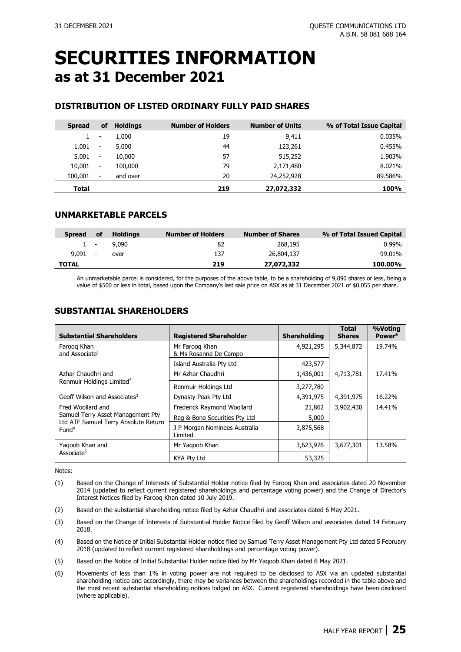### **SECURITIES INFORMATION as at 31 December 2021**

### **DISTRIBUTION OF LISTED ORDINARY FULLY PAID SHARES**

| <b>Spread</b> | οf                       | <b>Holdings</b> | <b>Number of Holders</b> | <b>Number of Units</b> | % of Total Issue Capital |
|---------------|--------------------------|-----------------|--------------------------|------------------------|--------------------------|
|               | $\blacksquare$           | 1,000           | 19                       | 9,411                  | 0.035%                   |
| 1,001         | $\overline{\phantom{a}}$ | 5,000           | 44                       | 123,261                | 0.455%                   |
| 5,001         | $\overline{\phantom{a}}$ | 10,000          | 57                       | 515,252                | 1.903%                   |
| 10,001        | $\overline{\phantom{a}}$ | 100,000         | 79                       | 2,171,480              | 8.021%                   |
| 100,001       | $\overline{\phantom{a}}$ | and over        | 20                       | 24,252,928             | 89.586%                  |
| Total         |                          |                 | 219                      | 27,072,332             | 100%                     |

### **UNMARKETABLE PARCELS**

| <b>Spread</b> | οf                       | Holdings | <b>Number of Holders</b> | <b>Number of Shares</b> | % of Total Issued Capital |
|---------------|--------------------------|----------|--------------------------|-------------------------|---------------------------|
|               | $1 -$                    | 9.090    | 82                       | 268,195                 | $0.99\%$                  |
| 9.091         | $\overline{\phantom{a}}$ | over     | 137                      | 26,804,137              | 99.01%                    |
| <b>TOTAL</b>  |                          |          | 219                      | 27,072,332              | 100.00%                   |

An unmarketable parcel is considered, for the purposes of the above table, to be a shareholding of 9,090 shares or less, being a value of \$500 or less in total, based upon the Company's last sale price on ASX as at 31 December 2021 of \$0.055 per share.

### **SUBSTANTIAL SHAREHOLDERS**

| <b>Substantial Shareholders</b>                                           | <b>Registered Shareholder</b>            | <b>Shareholding</b> | <b>Total</b><br><b>Shares</b> | %Voting<br>Power <sup>6</sup> |
|---------------------------------------------------------------------------|------------------------------------------|---------------------|-------------------------------|-------------------------------|
| Faroog Khan<br>and Associate <sup>1</sup>                                 | Mr Faroog Khan<br>& Ms Rosanna De Campo  | 4,921,295           | 5,344,872                     | 19.74%                        |
|                                                                           | Island Australia Pty Ltd                 | 423,577             |                               |                               |
| Azhar Chaudhri and                                                        | Mr Azhar Chaudhri                        | 1,436,001           | 4,713,781                     | 17.41%                        |
| Renmuir Holdings Limited <sup>2</sup>                                     | Renmuir Holdings Ltd                     | 3,277,780           |                               |                               |
| Geoff Wilson and Associates <sup>3</sup>                                  | Dynasty Peak Pty Ltd                     | 4,391,975           | 4,391,975                     | 16.22%                        |
| Fred Woollard and                                                         | Frederick Raymond Woollard               | 21,862              | 3,902,430                     | 14.41%                        |
| Samuel Terry Asset Management Pty<br>Ltd ATF Samuel Terry Absolute Return | Rag & Bone Securities Pty Ltd            | 5,000               |                               |                               |
| Fund <sup>4</sup>                                                         | J P Morgan Nominees Australia<br>Limited | 3,875,568           |                               |                               |
| Yagoob Khan and                                                           | Mr Yagoob Khan                           | 3,623,976           | 3,677,301                     | 13.58%                        |
| Associate <sup>5</sup>                                                    | <b>KYA Ptv Ltd</b>                       | 53,325              |                               |                               |

Notes:

- (1) Based on the Change of Interests of Substantial Holder notice filed by Farooq Khan and associates dated [20 November](https://cdn-api.markitdigital.com/apiman-gateway/ASX/asx-research/1.0/file/2995-01576369-6A700634?access_token=83ff96335c2d45a094df02a206a39ff4)  [2014](https://cdn-api.markitdigital.com/apiman-gateway/ASX/asx-research/1.0/file/2995-01576369-6A700634?access_token=83ff96335c2d45a094df02a206a39ff4) (updated to reflect current registered shareholdings and percentage voting power) and the Change of Director's Interest Notices filed by Farooq Khan dated [10 July 2019.](https://www.asx.com.au/asx/statistics/displayAnnouncement.do?display=pdf&idsId=02122347)
- (2) Based on the substantial shareholding notice filed by Azhar Chaudhri and associates date[d 6 May 2021.](https://cdn-api.markitdigital.com/apiman-gateway/ASX/asx-research/1.0/file/2924-02372337-6A1032130?access_token=83ff96335c2d45a094df02a206a39ff4)
- (3) Based on the Change of Interests of Substantial Holder Notice filed by Geoff Wilson and associates dated [14 February](https://www.asx.com.au/asxpdf/20180214/pdf/43rl69lsbkx10v.pdf)  [2018.](https://www.asx.com.au/asxpdf/20180214/pdf/43rl69lsbkx10v.pdf)
- (4) Based on the Notice of Initial Substantial Holder notice filed by Samuel Terry Asset Management Pty Ltd date[d 5 February](https://www.asx.com.au/asxpdf/20180205/pdf/43rbvqmshw48vk.pdf)  [2018](https://www.asx.com.au/asxpdf/20180205/pdf/43rbvqmshw48vk.pdf) (updated to reflect current registered shareholdings and percentage voting power).
- (5) Based on the Notice of Initial Substantial Holder notice filed by Mr Yaqoob Khan dated [6 May 2021.](https://cdn-api.markitdigital.com/apiman-gateway/ASX/asx-research/1.0/file/2924-02372336-6A1032129?access_token=83ff96335c2d45a094df02a206a39ff4)
- (6) Movements of less than 1% in voting power are not required to be disclosed to ASX via an updated substantial shareholding notice and accordingly, there may be variances between the shareholdings recorded in the table above and the most recent substantial shareholding notices lodged on ASX. Current registered shareholdings have been disclosed (where applicable).